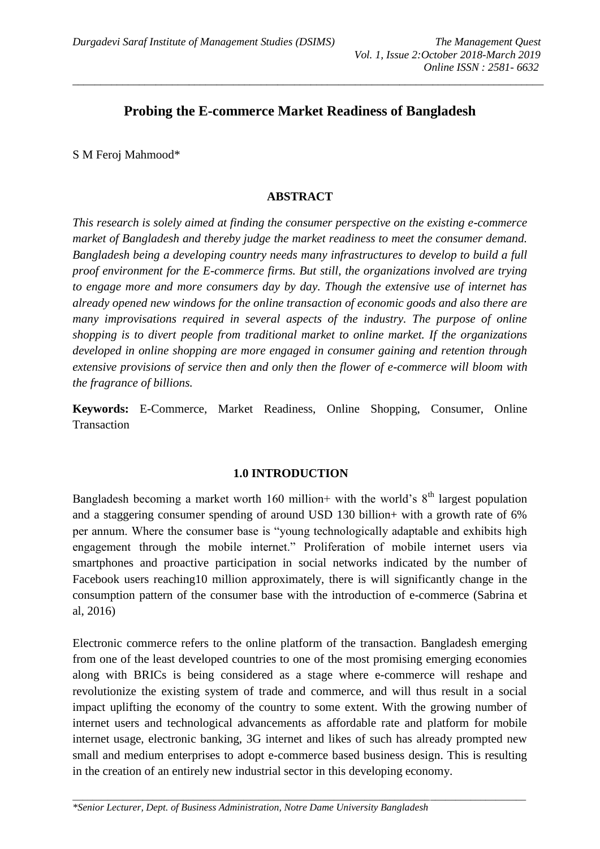# **Probing the E-commerce Market Readiness of Bangladesh**

*\_\_\_\_\_\_\_\_\_\_\_\_\_\_\_\_\_\_\_\_\_\_\_\_\_\_\_\_\_\_\_\_\_\_\_\_\_\_\_\_\_\_\_\_\_\_\_\_\_\_\_\_\_\_\_\_\_\_\_\_\_\_\_\_\_\_\_\_\_\_\_\_\_\_\_\_\_\_\_\_\_\_\_\_\_*

S M Feroj Mahmood\*

#### **ABSTRACT**

*This research is solely aimed at finding the consumer perspective on the existing e-commerce market of Bangladesh and thereby judge the market readiness to meet the consumer demand. Bangladesh being a developing country needs many infrastructures to develop to build a full proof environment for the E-commerce firms. But still, the organizations involved are trying to engage more and more consumers day by day. Though the extensive use of internet has already opened new windows for the online transaction of economic goods and also there are many improvisations required in several aspects of the industry. The purpose of online shopping is to divert people from traditional market to online market. If the organizations developed in online shopping are more engaged in consumer gaining and retention through extensive provisions of service then and only then the flower of e-commerce will bloom with the fragrance of billions.*

**Keywords:** E-Commerce, Market Readiness, Online Shopping, Consumer, Online **Transaction** 

#### **1.0 INTRODUCTION**

Bangladesh becoming a market worth 160 million+ with the world's  $8<sup>th</sup>$  largest population and a staggering consumer spending of around USD 130 billion+ with a growth rate of 6% per annum. Where the consumer base is "young technologically adaptable and exhibits high engagement through the mobile internet." Proliferation of mobile internet users via smartphones and proactive participation in social networks indicated by the number of Facebook users reaching10 million approximately, there is will significantly change in the consumption pattern of the consumer base with the introduction of e-commerce (Sabrina et al, 2016)

Electronic commerce refers to the online platform of the transaction. Bangladesh emerging from one of the least developed countries to one of the most promising emerging economies along with BRICs is being considered as a stage where e-commerce will reshape and revolutionize the existing system of trade and commerce, and will thus result in a social impact uplifting the economy of the country to some extent. With the growing number of internet users and technological advancements as affordable rate and platform for mobile internet usage, electronic banking, 3G internet and likes of such has already prompted new small and medium enterprises to adopt e-commerce based business design. This is resulting in the creation of an entirely new industrial sector in this developing economy.

*\_\_\_\_\_\_\_\_\_\_\_\_\_\_\_\_\_\_\_\_\_\_\_\_\_\_\_\_\_\_\_\_\_\_\_\_\_\_\_\_\_\_\_\_\_\_\_\_\_\_\_\_\_\_\_\_\_\_\_\_\_\_\_\_\_\_\_\_\_\_\_\_\_\_\_\_\_\_\_\_\_\_\_\_\_\_\_\_\_\_*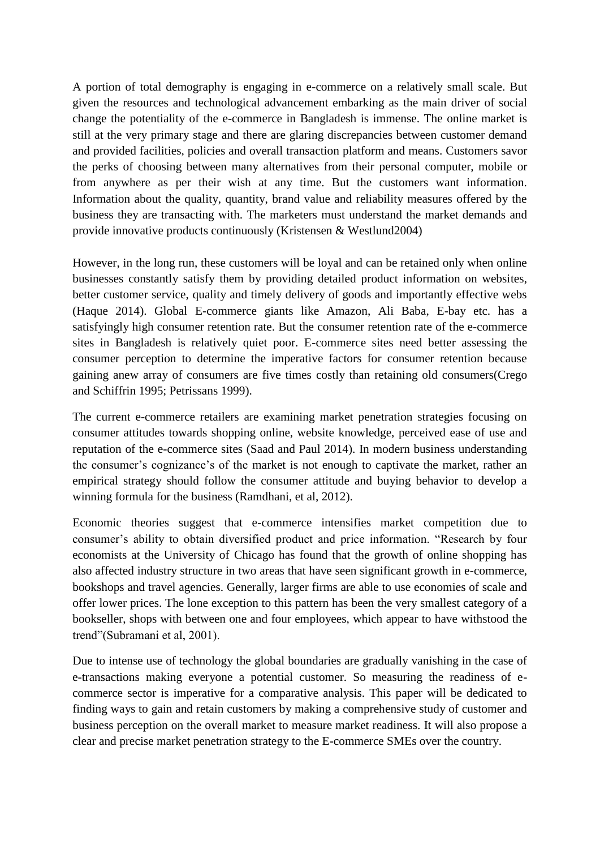A portion of total demography is engaging in e-commerce on a relatively small scale. But given the resources and technological advancement embarking as the main driver of social change the potentiality of the e-commerce in Bangladesh is immense. The online market is still at the very primary stage and there are glaring discrepancies between customer demand and provided facilities, policies and overall transaction platform and means. Customers savor the perks of choosing between many alternatives from their personal computer, mobile or from anywhere as per their wish at any time. But the customers want information. Information about the quality, quantity, brand value and reliability measures offered by the business they are transacting with. The marketers must understand the market demands and provide innovative products continuously (Kristensen & Westlund2004)

However, in the long run, these customers will be loyal and can be retained only when online businesses constantly satisfy them by providing detailed product information on websites, better customer service, quality and timely delivery of goods and importantly effective webs (Haque 2014). Global E-commerce giants like Amazon, Ali Baba, E-bay etc. has a satisfyingly high consumer retention rate. But the consumer retention rate of the e-commerce sites in Bangladesh is relatively quiet poor. E-commerce sites need better assessing the consumer perception to determine the imperative factors for consumer retention because gaining anew array of consumers are five times costly than retaining old consumers(Crego and Schiffrin 1995; Petrissans 1999).

The current e-commerce retailers are examining market penetration strategies focusing on consumer attitudes towards shopping online, website knowledge, perceived ease of use and reputation of the e-commerce sites (Saad and Paul 2014). In modern business understanding the consumer's cognizance's of the market is not enough to captivate the market, rather an empirical strategy should follow the consumer attitude and buying behavior to develop a winning formula for the business (Ramdhani, et al, 2012).

Economic theories suggest that e-commerce intensifies market competition due to consumer's ability to obtain diversified product and price information. "Research by four economists at the University of Chicago has found that the growth of online shopping has also affected industry structure in two areas that have seen significant growth in e-commerce, bookshops and travel agencies. Generally, larger firms are able to use economies of scale and offer lower prices. The lone exception to this pattern has been the very smallest category of a bookseller, shops with between one and four employees, which appear to have withstood the trend"(Subramani et al, 2001).

Due to intense use of technology the global boundaries are gradually vanishing in the case of e-transactions making everyone a potential customer. So measuring the readiness of ecommerce sector is imperative for a comparative analysis. This paper will be dedicated to finding ways to gain and retain customers by making a comprehensive study of customer and business perception on the overall market to measure market readiness. It will also propose a clear and precise market penetration strategy to the E-commerce SMEs over the country.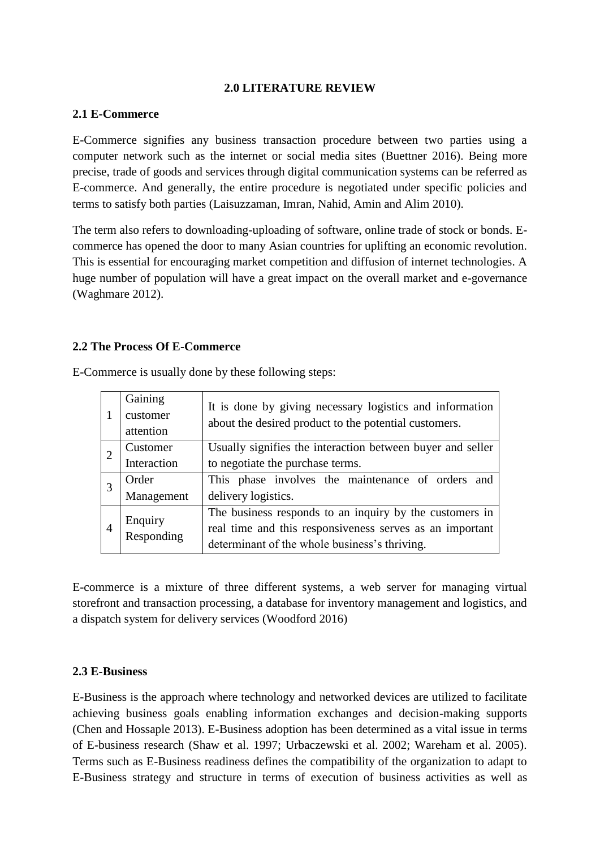#### **2.0 LITERATURE REVIEW**

#### **2.1 E-Commerce**

E-Commerce signifies any business transaction procedure between two parties using a computer network such as the internet or social media sites (Buettner 2016). Being more precise, trade of goods and services through digital communication systems can be referred as E-commerce. And generally, the entire procedure is negotiated under specific policies and terms to satisfy both parties (Laisuzzaman, Imran, Nahid, Amin and Alim 2010).

The term also refers to downloading-uploading of software, online trade of stock or bonds. Ecommerce has opened the door to many Asian countries for uplifting an economic revolution. This is essential for encouraging market competition and diffusion of internet technologies. A huge number of population will have a great impact on the overall market and e-governance (Waghmare 2012).

#### **2.2 The Process Of E-Commerce**

|   | Gaining<br>customer<br>attention | It is done by giving necessary logistics and information<br>about the desired product to the potential customers. |  |  |  |
|---|----------------------------------|-------------------------------------------------------------------------------------------------------------------|--|--|--|
|   | Customer                         | Usually signifies the interaction between buyer and seller                                                        |  |  |  |
|   | Interaction                      | to negotiate the purchase terms.                                                                                  |  |  |  |
|   | Order                            | This phase involves the maintenance of orders and                                                                 |  |  |  |
|   | Management                       | delivery logistics.                                                                                               |  |  |  |
|   |                                  | The business responds to an inquiry by the customers in                                                           |  |  |  |
| 4 | Enquiry<br>Responding            | real time and this responsiveness serves as an important                                                          |  |  |  |
|   |                                  | determinant of the whole business's thriving.                                                                     |  |  |  |

E-Commerce is usually done by these following steps:

E-commerce is a mixture of three different systems, a web server for managing virtual storefront and transaction processing, a database for inventory management and logistics, and a dispatch system for delivery services (Woodford 2016)

#### **2.3 E-Business**

E-Business is the approach where technology and networked devices are utilized to facilitate achieving business goals enabling information exchanges and decision-making supports (Chen and Hossaple 2013). E-Business adoption has been determined as a vital issue in terms of E-business research (Shaw et al. 1997; Urbaczewski et al. 2002; Wareham et al. 2005). Terms such as E-Business readiness defines the compatibility of the organization to adapt to E-Business strategy and structure in terms of execution of business activities as well as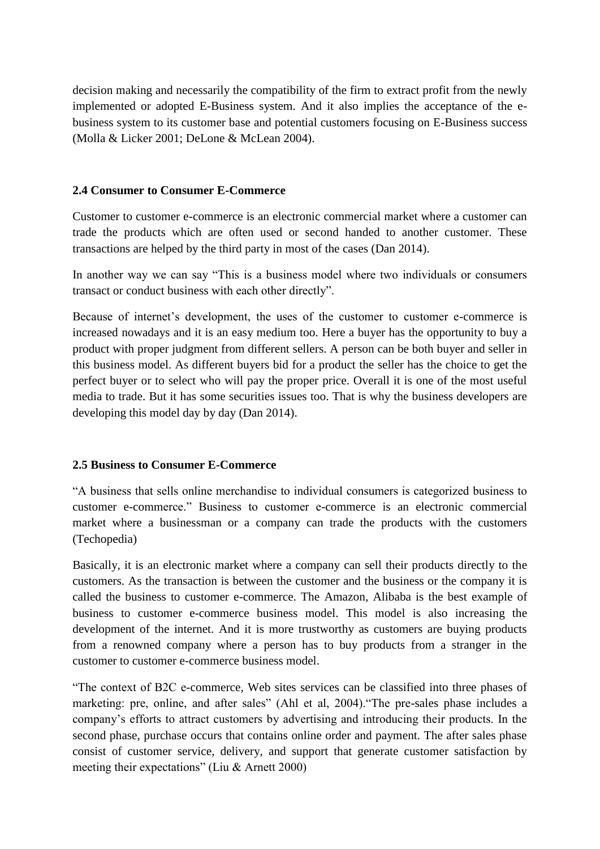decision making and necessarily the compatibility of the firm to extract profit from the newly implemented or adopted E-Business system. And it also implies the acceptance of the ebusiness system to its customer base and potential customers focusing on E-Business success (Molla & Licker 2001; DeLone & McLean 2004).

### **2.4 Consumer to Consumer E-Commerce**

Customer to customer e-commerce is an electronic commercial market where a customer can trade the products which are often used or second handed to another customer. These transactions are helped by the third party in most of the cases (Dan 2014).

In another way we can say "This is a business model where two individuals or consumers transact or conduct business with each other directly".

Because of internet's development, the uses of the customer to customer e-commerce is increased nowadays and it is an easy medium too. Here a buyer has the opportunity to buy a product with proper judgment from different sellers. A person can be both buyer and seller in this business model. As different buyers bid for a product the seller has the choice to get the perfect buyer or to select who will pay the proper price. Overall it is one of the most useful media to trade. But it has some securities issues too. That is why the business developers are developing this model day by day (Dan 2014).

## **2.5 Business to Consumer E-Commerce**

"A business that sells online merchandise to individual consumers is categorized business to customer e-commerce." Business to customer e-commerce is an electronic commercial market where a businessman or a company can trade the products with the customers (Techopedia)

Basically, it is an electronic market where a company can sell their products directly to the customers. As the transaction is between the customer and the business or the company it is called the business to customer e-commerce. The Amazon, Alibaba is the best example of business to customer e-commerce business model. This model is also increasing the development of the internet. And it is more trustworthy as customers are buying products from a renowned company where a person has to buy products from a stranger in the customer to customer e-commerce business model.

"The context of B2C e-commerce, Web sites services can be classified into three phases of marketing: pre, online, and after sales" (Ahl et al, 2004)."The pre-sales phase includes a company's efforts to attract customers by advertising and introducing their products. In the second phase, purchase occurs that contains online order and payment. The after sales phase consist of customer service, delivery, and support that generate customer satisfaction by meeting their expectations" (Liu & Arnett 2000)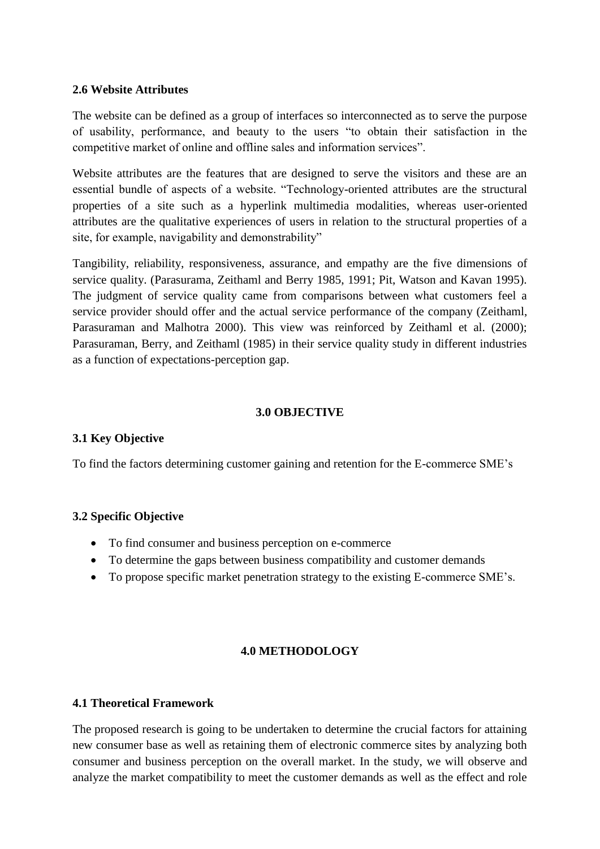### **2.6 Website Attributes**

The website can be defined as a group of interfaces so interconnected as to serve the purpose of usability, performance, and beauty to the users "to obtain their satisfaction in the competitive market of online and offline sales and information services".

Website attributes are the features that are designed to serve the visitors and these are an essential bundle of aspects of a website. "Technology-oriented attributes are the structural properties of a site such as a hyperlink multimedia modalities, whereas user-oriented attributes are the qualitative experiences of users in relation to the structural properties of a site, for example, navigability and demonstrability"

Tangibility, reliability, responsiveness, assurance, and empathy are the five dimensions of service quality. (Parasurama, Zeithaml and Berry 1985, 1991; Pit, Watson and Kavan 1995). The judgment of service quality came from comparisons between what customers feel a service provider should offer and the actual service performance of the company (Zeithaml, Parasuraman and Malhotra 2000). This view was reinforced by Zeithaml et al. (2000); Parasuraman, Berry, and Zeithaml (1985) in their service quality study in different industries as a function of expectations-perception gap.

### **3.0 OBJECTIVE**

## **3.1 Key Objective**

To find the factors determining customer gaining and retention for the E-commerce SME's

## **3.2 Specific Objective**

- To find consumer and business perception on e-commerce
- To determine the gaps between business compatibility and customer demands
- To propose specific market penetration strategy to the existing E-commerce SME's.

## **4.0 METHODOLOGY**

#### **4.1 Theoretical Framework**

The proposed research is going to be undertaken to determine the crucial factors for attaining new consumer base as well as retaining them of electronic commerce sites by analyzing both consumer and business perception on the overall market. In the study, we will observe and analyze the market compatibility to meet the customer demands as well as the effect and role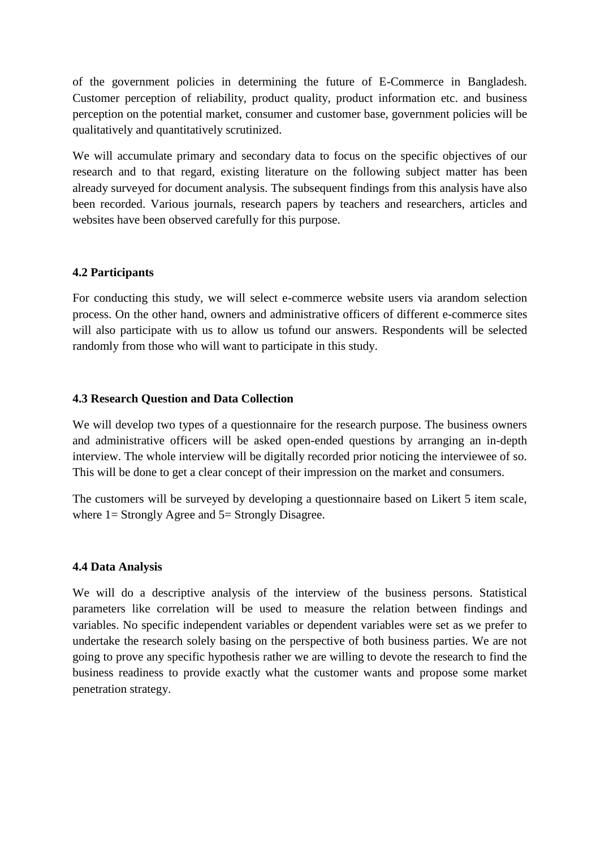of the government policies in determining the future of E-Commerce in Bangladesh. Customer perception of reliability, product quality, product information etc. and business perception on the potential market, consumer and customer base, government policies will be qualitatively and quantitatively scrutinized.

We will accumulate primary and secondary data to focus on the specific objectives of our research and to that regard, existing literature on the following subject matter has been already surveyed for document analysis. The subsequent findings from this analysis have also been recorded. Various journals, research papers by teachers and researchers, articles and websites have been observed carefully for this purpose.

### **4.2 Participants**

For conducting this study, we will select e-commerce website users via arandom selection process. On the other hand, owners and administrative officers of different e-commerce sites will also participate with us to allow us tofund our answers. Respondents will be selected randomly from those who will want to participate in this study.

### **4.3 Research Question and Data Collection**

We will develop two types of a questionnaire for the research purpose. The business owners and administrative officers will be asked open-ended questions by arranging an in-depth interview. The whole interview will be digitally recorded prior noticing the interviewee of so. This will be done to get a clear concept of their impression on the market and consumers.

The customers will be surveyed by developing a questionnaire based on Likert 5 item scale, where 1 = Strongly Agree and 5 = Strongly Disagree.

#### **4.4 Data Analysis**

We will do a descriptive analysis of the interview of the business persons. Statistical parameters like correlation will be used to measure the relation between findings and variables. No specific independent variables or dependent variables were set as we prefer to undertake the research solely basing on the perspective of both business parties. We are not going to prove any specific hypothesis rather we are willing to devote the research to find the business readiness to provide exactly what the customer wants and propose some market penetration strategy.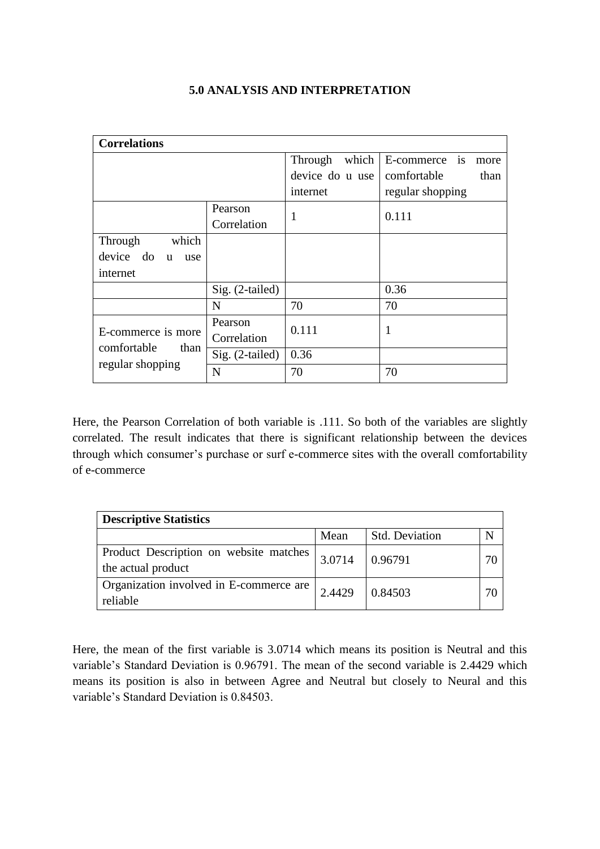| <b>Correlations</b>              |                   |                  |                          |  |  |  |
|----------------------------------|-------------------|------------------|--------------------------|--|--|--|
|                                  |                   | which<br>Through | is<br>E-commerce<br>more |  |  |  |
|                                  |                   | device do u use  | comfortable<br>than      |  |  |  |
|                                  |                   | internet         | regular shopping         |  |  |  |
|                                  | Pearson           | 1                | 0.111                    |  |  |  |
|                                  | Correlation       |                  |                          |  |  |  |
| which<br>Through                 |                   |                  |                          |  |  |  |
| device do<br>$\mathbf{u}$<br>use |                   |                  |                          |  |  |  |
| internet                         |                   |                  |                          |  |  |  |
|                                  | Sig. (2-tailed)   |                  | 0.36                     |  |  |  |
|                                  | N                 | 70               | 70                       |  |  |  |
|                                  | Pearson           | 0.111            | 1                        |  |  |  |
| E-commerce is more               | Correlation       |                  |                          |  |  |  |
| comfortable<br>than              | $Sig. (2-tailed)$ | 0.36             |                          |  |  |  |
| regular shopping                 | N                 | 70               | 70                       |  |  |  |

### **5.0 ANALYSIS AND INTERPRETATION**

Here, the Pearson Correlation of both variable is .111. So both of the variables are slightly correlated. The result indicates that there is significant relationship between the devices through which consumer's purchase or surf e-commerce sites with the overall comfortability of e-commerce

| <b>Descriptive Statistics</b>                                |        |                       |  |  |  |
|--------------------------------------------------------------|--------|-----------------------|--|--|--|
|                                                              | Mean   | <b>Std. Deviation</b> |  |  |  |
| Product Description on website matches<br>the actual product | 3.0714 | 0.96791               |  |  |  |
| Organization involved in E-commerce are<br>reliable          | 2.4429 | 0.84503               |  |  |  |

Here, the mean of the first variable is 3.0714 which means its position is Neutral and this variable's Standard Deviation is 0.96791. The mean of the second variable is 2.4429 which means its position is also in between Agree and Neutral but closely to Neural and this variable's Standard Deviation is 0.84503.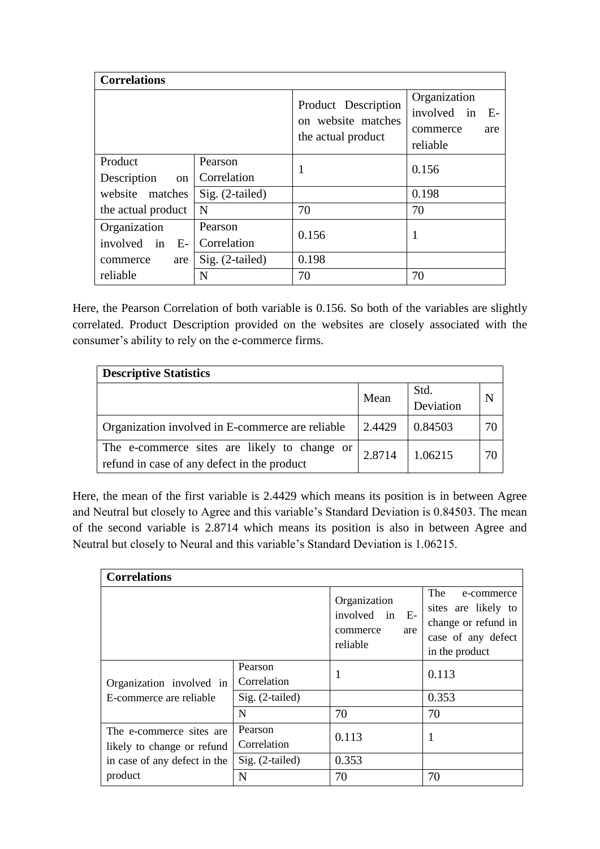| <b>Correlations</b>                     |                        |                                                                 |                                                                    |  |  |
|-----------------------------------------|------------------------|-----------------------------------------------------------------|--------------------------------------------------------------------|--|--|
|                                         |                        | Product Description<br>on website matches<br>the actual product | Organization<br>involved in<br>- E-<br>commerce<br>are<br>reliable |  |  |
| Product<br>Description<br><sub>on</sub> | Pearson<br>Correlation |                                                                 | 0.156                                                              |  |  |
| website matches                         | Sig. (2-tailed)        |                                                                 | 0.198                                                              |  |  |
| the actual product                      | N                      | 70                                                              | 70                                                                 |  |  |
| Organization<br>involved in<br>E-       | Pearson<br>Correlation | 0.156                                                           | 1                                                                  |  |  |
| are<br>commerce                         | $Sig. (2-tailed)$      | 0.198                                                           |                                                                    |  |  |
| reliable                                | N                      | 70                                                              | 70                                                                 |  |  |

Here, the Pearson Correlation of both variable is 0.156. So both of the variables are slightly correlated. Product Description provided on the websites are closely associated with the consumer's ability to rely on the e-commerce firms.

| <b>Descriptive Statistics</b>                                                               |        |                   |    |  |  |
|---------------------------------------------------------------------------------------------|--------|-------------------|----|--|--|
|                                                                                             | Mean   | Std.<br>Deviation | N  |  |  |
| Organization involved in E-commerce are reliable                                            | 2.4429 | 0.84503           | 70 |  |  |
| The e-commerce sites are likely to change or<br>refund in case of any defect in the product | 2.8714 | 1.06215           | 70 |  |  |

Here, the mean of the first variable is 2.4429 which means its position is in between Agree and Neutral but closely to Agree and this variable's Standard Deviation is 0.84503. The mean of the second variable is 2.8714 which means its position is also in between Agree and Neutral but closely to Neural and this variable's Standard Deviation is 1.06215.

| <b>Correlations</b>                                     |                        |                                                               |                                                                                                         |  |
|---------------------------------------------------------|------------------------|---------------------------------------------------------------|---------------------------------------------------------------------------------------------------------|--|
|                                                         |                        | Organization<br>involved in E-<br>commerce<br>are<br>reliable | The<br>e-commerce<br>sites are likely to<br>change or refund in<br>case of any defect<br>in the product |  |
| Organization involved in                                | Pearson<br>Correlation |                                                               | 0.113                                                                                                   |  |
| E-commerce are reliable                                 | Sig. (2-tailed)        |                                                               | 0.353                                                                                                   |  |
|                                                         | $\mathbf N$            | 70                                                            | 70                                                                                                      |  |
| The e-commerce sites are.<br>likely to change or refund | Pearson<br>Correlation | 0.113                                                         | 1                                                                                                       |  |
| in case of any defect in the                            | Sig. (2-tailed)        | 0.353                                                         |                                                                                                         |  |
| product                                                 | N                      | 70                                                            | 70                                                                                                      |  |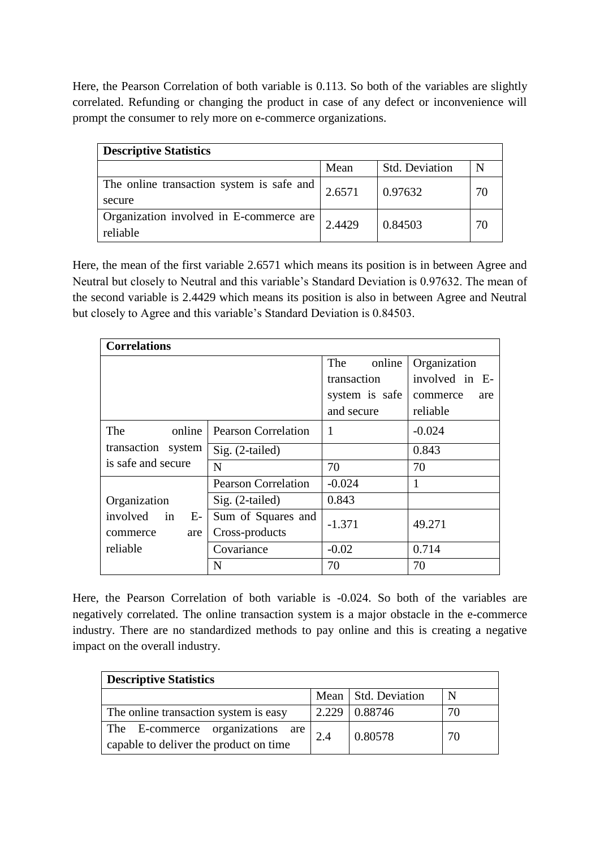Here, the Pearson Correlation of both variable is 0.113. So both of the variables are slightly correlated. Refunding or changing the product in case of any defect or inconvenience will prompt the consumer to rely more on e-commerce organizations.

| <b>Descriptive Statistics</b>                       |        |                       |    |  |  |
|-----------------------------------------------------|--------|-----------------------|----|--|--|
|                                                     | Mean   | <b>Std. Deviation</b> |    |  |  |
| The online transaction system is safe and<br>secure | 2.6571 | 0.97632               | 70 |  |  |
| Organization involved in E-commerce are<br>reliable | 2.4429 | 0.84503               | 70 |  |  |

Here, the mean of the first variable 2.6571 which means its position is in between Agree and Neutral but closely to Neutral and this variable's Standard Deviation is 0.97632. The mean of the second variable is 2.4429 which means its position is also in between Agree and Neutral but closely to Agree and this variable's Standard Deviation is 0.84503.

| <b>Correlations</b> |                            |                |                 |  |
|---------------------|----------------------------|----------------|-----------------|--|
|                     |                            | The<br>online  | Organization    |  |
|                     |                            | transaction    | involved in E-  |  |
|                     |                            | system is safe | commerce<br>are |  |
|                     |                            | and secure     | reliable        |  |
| The<br>online       | <b>Pearson Correlation</b> | 1              | $-0.024$        |  |
| transaction system  | $Sig. (2-tailed)$          |                | 0.843           |  |
| is safe and secure  | N                          | 70             | 70              |  |
|                     | <b>Pearson Correlation</b> | $-0.024$       | 1               |  |
| Organization        | Sig. (2-tailed)            | 0.843          |                 |  |
| involved in<br>$E-$ | Sum of Squares and         | $-1.371$       | 49.271          |  |
| commerce<br>are     | Cross-products             |                |                 |  |
| reliable            | Covariance                 | $-0.02$        | 0.714           |  |
|                     | N                          | 70             | 70              |  |

Here, the Pearson Correlation of both variable is -0.024. So both of the variables are negatively correlated. The online transaction system is a major obstacle in the e-commerce industry. There are no standardized methods to pay online and this is creating a negative impact on the overall industry.

| <b>Descriptive Statistics</b>                                              |       |                       |    |  |  |
|----------------------------------------------------------------------------|-------|-----------------------|----|--|--|
|                                                                            |       | Mean   Std. Deviation | N  |  |  |
| The online transaction system is easy                                      | 2.229 | 0.88746               | 70 |  |  |
| The E-commerce organizations are<br>capable to deliver the product on time | 2.4   | 0.80578               | 70 |  |  |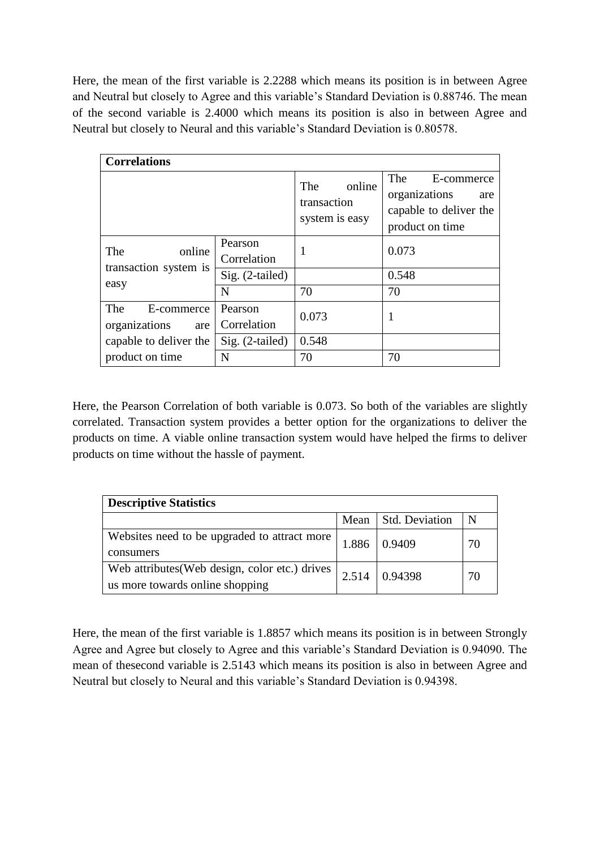Here, the mean of the first variable is 2.2288 which means its position is in between Agree and Neutral but closely to Agree and this variable's Standard Deviation is 0.88746. The mean of the second variable is 2.4000 which means its position is also in between Agree and Neutral but closely to Neural and this variable's Standard Deviation is 0.80578.

| <b>Correlations</b>                       |                        |                                                       |                                                                                        |  |
|-------------------------------------------|------------------------|-------------------------------------------------------|----------------------------------------------------------------------------------------|--|
|                                           |                        | <b>The</b><br>online<br>transaction<br>system is easy | The<br>E-commerce<br>organizations<br>are<br>capable to deliver the<br>product on time |  |
| online<br>The<br>transaction system is    | Pearson<br>Correlation | 1                                                     | 0.073                                                                                  |  |
|                                           | $Sig. (2-tailed)$      |                                                       | 0.548                                                                                  |  |
| easy                                      | N                      | 70                                                    | 70                                                                                     |  |
| The<br>E-commerce<br>organizations<br>are | Pearson<br>Correlation | 0.073                                                 | 1                                                                                      |  |
| capable to deliver the                    | $Sig. (2-tailed)$      | 0.548                                                 |                                                                                        |  |
| product on time                           | N                      | 70                                                    | 70                                                                                     |  |

Here, the Pearson Correlation of both variable is 0.073. So both of the variables are slightly correlated. Transaction system provides a better option for the organizations to deliver the products on time. A viable online transaction system would have helped the firms to deliver products on time without the hassle of payment.

| <b>Descriptive Statistics</b>                  |       |                       |    |  |  |
|------------------------------------------------|-------|-----------------------|----|--|--|
|                                                | Mean  | <b>Std. Deviation</b> | N  |  |  |
| Websites need to be upgraded to attract more   | 1.886 | 0.9409                | 70 |  |  |
| consumers                                      |       |                       |    |  |  |
| Web attributes (Web design, color etc.) drives | 2.514 | 0.94398               | 70 |  |  |
| us more towards online shopping                |       |                       |    |  |  |

Here, the mean of the first variable is 1.8857 which means its position is in between Strongly Agree and Agree but closely to Agree and this variable's Standard Deviation is 0.94090. The mean of thesecond variable is 2.5143 which means its position is also in between Agree and Neutral but closely to Neural and this variable's Standard Deviation is 0.94398.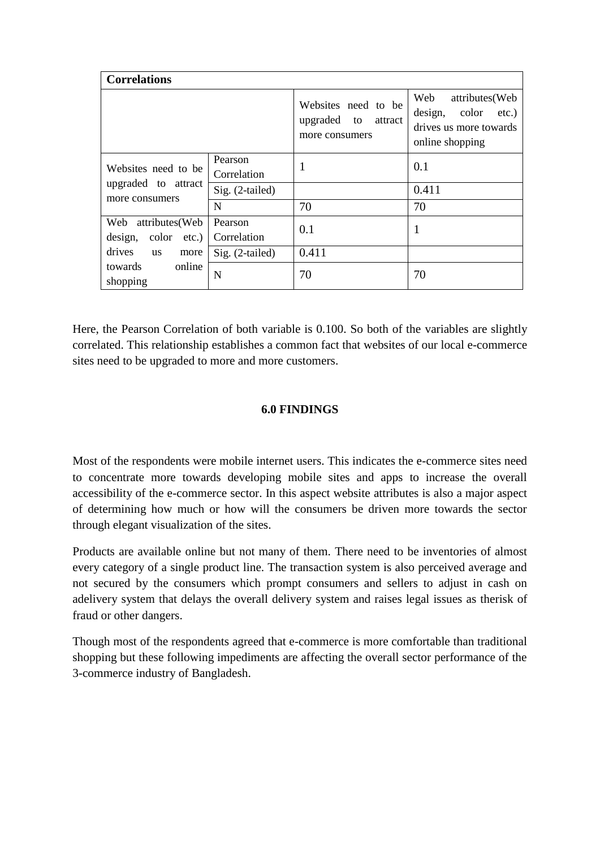| <b>Correlations</b>                                   |                        |                                                                    |                                                                                                     |  |
|-------------------------------------------------------|------------------------|--------------------------------------------------------------------|-----------------------------------------------------------------------------------------------------|--|
|                                                       |                        | Websites need to be<br>upgraded<br>to<br>attract<br>more consumers | Web<br>attributes (Web<br>design,<br>color<br>$etc.$ )<br>drives us more towards<br>online shopping |  |
| Websites need to be                                   | Pearson<br>Correlation | 1                                                                  | 0.1                                                                                                 |  |
| upgraded to attract<br>more consumers                 | Sig. (2-tailed)        |                                                                    | 0.411                                                                                               |  |
|                                                       | N                      | 70                                                                 | 70                                                                                                  |  |
| Web<br>attributes(Web<br>design,<br>color<br>$etc.$ ) | Pearson<br>Correlation | 0.1                                                                | 1                                                                                                   |  |
| drives<br><b>us</b><br>more                           | Sig. (2-tailed)        | 0.411                                                              |                                                                                                     |  |
| towards<br>online<br>shopping                         | N                      | 70                                                                 | 70                                                                                                  |  |

Here, the Pearson Correlation of both variable is 0.100. So both of the variables are slightly correlated. This relationship establishes a common fact that websites of our local e-commerce sites need to be upgraded to more and more customers.

## **6.0 FINDINGS**

Most of the respondents were mobile internet users. This indicates the e-commerce sites need to concentrate more towards developing mobile sites and apps to increase the overall accessibility of the e-commerce sector. In this aspect website attributes is also a major aspect of determining how much or how will the consumers be driven more towards the sector through elegant visualization of the sites.

Products are available online but not many of them. There need to be inventories of almost every category of a single product line. The transaction system is also perceived average and not secured by the consumers which prompt consumers and sellers to adjust in cash on adelivery system that delays the overall delivery system and raises legal issues as therisk of fraud or other dangers.

Though most of the respondents agreed that e-commerce is more comfortable than traditional shopping but these following impediments are affecting the overall sector performance of the 3-commerce industry of Bangladesh.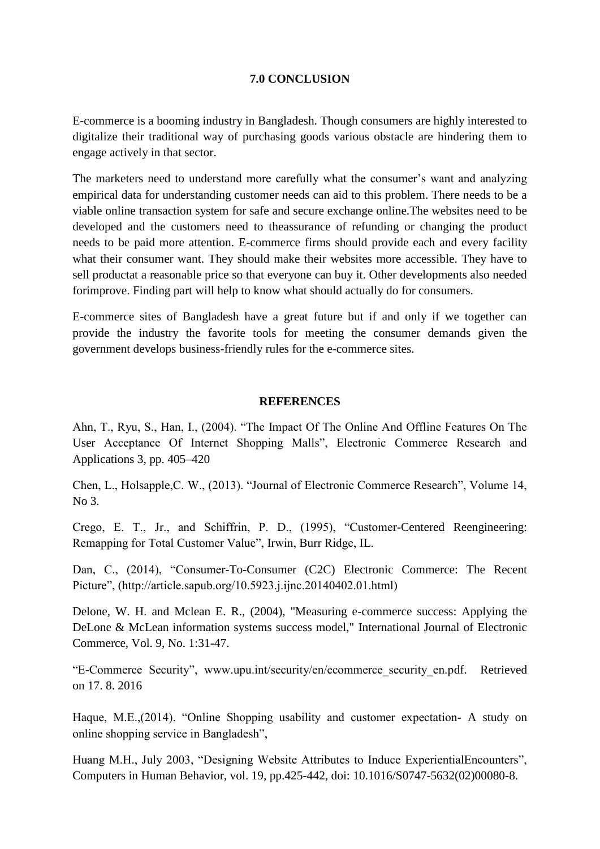#### **7.0 CONCLUSION**

E-commerce is a booming industry in Bangladesh. Though consumers are highly interested to digitalize their traditional way of purchasing goods various obstacle are hindering them to engage actively in that sector.

The marketers need to understand more carefully what the consumer's want and analyzing empirical data for understanding customer needs can aid to this problem. There needs to be a viable online transaction system for safe and secure exchange online.The websites need to be developed and the customers need to theassurance of refunding or changing the product needs to be paid more attention. E-commerce firms should provide each and every facility what their consumer want. They should make their websites more accessible. They have to sell productat a reasonable price so that everyone can buy it. Other developments also needed forimprove. Finding part will help to know what should actually do for consumers.

E-commerce sites of Bangladesh have a great future but if and only if we together can provide the industry the favorite tools for meeting the consumer demands given the government develops business-friendly rules for the e-commerce sites.

#### **REFERENCES**

Ahn, T., Ryu, S., Han, I., (2004). "The Impact Of The Online And Offline Features On The User Acceptance Of Internet Shopping Malls", Electronic Commerce Research and Applications 3, pp. 405–420

Chen, L., Holsapple,C. W., (2013). "Journal of Electronic Commerce Research", Volume 14, No 3.

Crego, E. T., Jr., and Schiffrin, P. D., (1995), "Customer-Centered Reengineering: Remapping for Total Customer Value", Irwin, Burr Ridge, IL.

Dan, C., (2014), "Consumer-To-Consumer (C2C) Electronic Commerce: The Recent Picture", (http://article.sapub.org/10.5923.j.ijnc.20140402.01.html)

Delone, W. H. and Mclean E. R., (2004), "Measuring e-commerce success: Applying the DeLone & McLean information systems success model," International Journal of Electronic Commerce, Vol. 9, No. 1:31-47.

"E-Commerce Security", www.upu.int/security/en/ecommerce\_security\_en.pdf. Retrieved on 17. 8. 2016

Haque, M.E.,(2014). "Online Shopping usability and customer expectation- A study on online shopping service in Bangladesh",

Huang M.H., July 2003, "Designing Website Attributes to Induce ExperientialEncounters", Computers in Human Behavior, vol. 19, pp.425-442, doi: 10.1016/S0747-5632(02)00080-8.